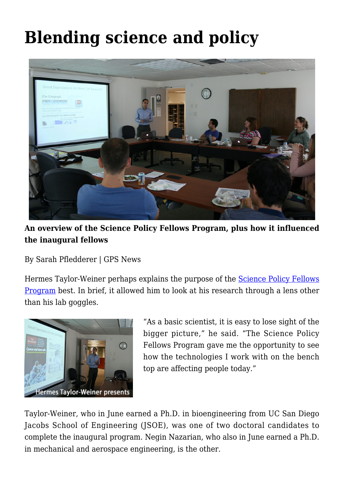## **[Blending science and policy](https://gpsnews.ucsd.edu/story-sfp/)**



**An overview of the Science Policy Fellows Program, plus how it influenced the inaugural fellows**

By Sarah Pfledderer | GPS News

Hermes Taylor-Weiner perhaps explains the purpose of the [Science Policy Fellows](https://gps.ucsd.edu/faculty-research/research/science-policy-fellows.html) [Program](https://gps.ucsd.edu/faculty-research/research/science-policy-fellows.html) best. In brief, it allowed him to look at his research through a lens other than his lab goggles.



"As a basic scientist, it is easy to lose sight of the bigger picture," he said. "The Science Policy Fellows Program gave me the opportunity to see how the technologies I work with on the bench top are affecting people today."

Taylor-Weiner, who in June earned a Ph.D. in bioengineering from UC San Diego Jacobs School of Engineering (JSOE), was one of two doctoral candidates to complete the inaugural program. Negin Nazarian, who also in June earned a Ph.D. in mechanical and aerospace engineering, is the other.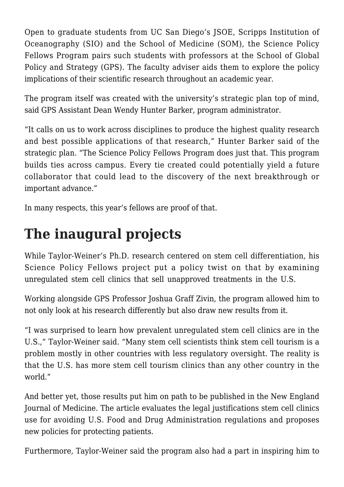Open to graduate students from UC San Diego's JSOE, Scripps Institution of Oceanography (SIO) and the School of Medicine (SOM), the Science Policy Fellows Program pairs such students with professors at the School of Global Policy and Strategy (GPS). The faculty adviser aids them to explore the policy implications of their scientific research throughout an academic year.

The program itself was created with the university's strategic plan top of mind, said GPS Assistant Dean Wendy Hunter Barker, program administrator.

"It calls on us to work across disciplines to produce the highest quality research and best possible applications of that research," Hunter Barker said of the strategic plan. "The Science Policy Fellows Program does just that. This program builds ties across campus. Every tie created could potentially yield a future collaborator that could lead to the discovery of the next breakthrough or important advance."

In many respects, this year's fellows are proof of that.

## **The inaugural projects**

While Taylor-Weiner's Ph.D. research centered on stem cell differentiation, his Science Policy Fellows project put a policy twist on that by examining unregulated stem cell clinics that sell unapproved treatments in the U.S.

Working alongside GPS Professor Joshua Graff Zivin, the program allowed him to not only look at his research differently but also draw new results from it.

"I was surprised to learn how prevalent unregulated stem cell clinics are in the U.S.," Taylor-Weiner said. "Many stem cell scientists think stem cell tourism is a problem mostly in other countries with less regulatory oversight. The reality is that the U.S. has more stem cell tourism clinics than any other country in the world."

And better yet, those results put him on path to be published in the New England Journal of Medicine. The article evaluates the legal justifications stem cell clinics use for avoiding U.S. Food and Drug Administration regulations and proposes new policies for protecting patients.

Furthermore, Taylor-Weiner said the program also had a part in inspiring him to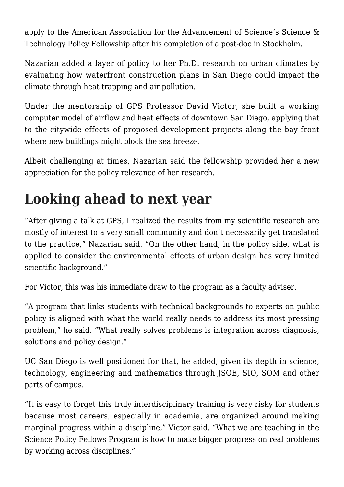apply to the American Association for the Advancement of Science's Science & Technology Policy Fellowship after his completion of a post-doc in Stockholm.

Nazarian added a layer of policy to her Ph.D. research on urban climates by evaluating how waterfront construction plans in San Diego could impact the climate through heat trapping and air pollution.

Under the mentorship of GPS Professor David Victor, she built a working computer model of airflow and heat effects of downtown San Diego, applying that to the citywide effects of proposed development projects along the bay front where new buildings might block the sea breeze.

Albeit challenging at times, Nazarian said the fellowship provided her a new appreciation for the policy relevance of her research.

## **Looking ahead to next year**

"After giving a talk at GPS, I realized the results from my scientific research are mostly of interest to a very small community and don't necessarily get translated to the practice," Nazarian said. "On the other hand, in the policy side, what is applied to consider the environmental effects of urban design has very limited scientific background."

For Victor, this was his immediate draw to the program as a faculty adviser.

"A program that links students with technical backgrounds to experts on public policy is aligned with what the world really needs to address its most pressing problem," he said. "What really solves problems is integration across diagnosis, solutions and policy design."

UC San Diego is well positioned for that, he added, given its depth in science, technology, engineering and mathematics through JSOE, SIO, SOM and other parts of campus.

"It is easy to forget this truly interdisciplinary training is very risky for students because most careers, especially in academia, are organized around making marginal progress within a discipline," Victor said. "What we are teaching in the Science Policy Fellows Program is how to make bigger progress on real problems by working across disciplines."